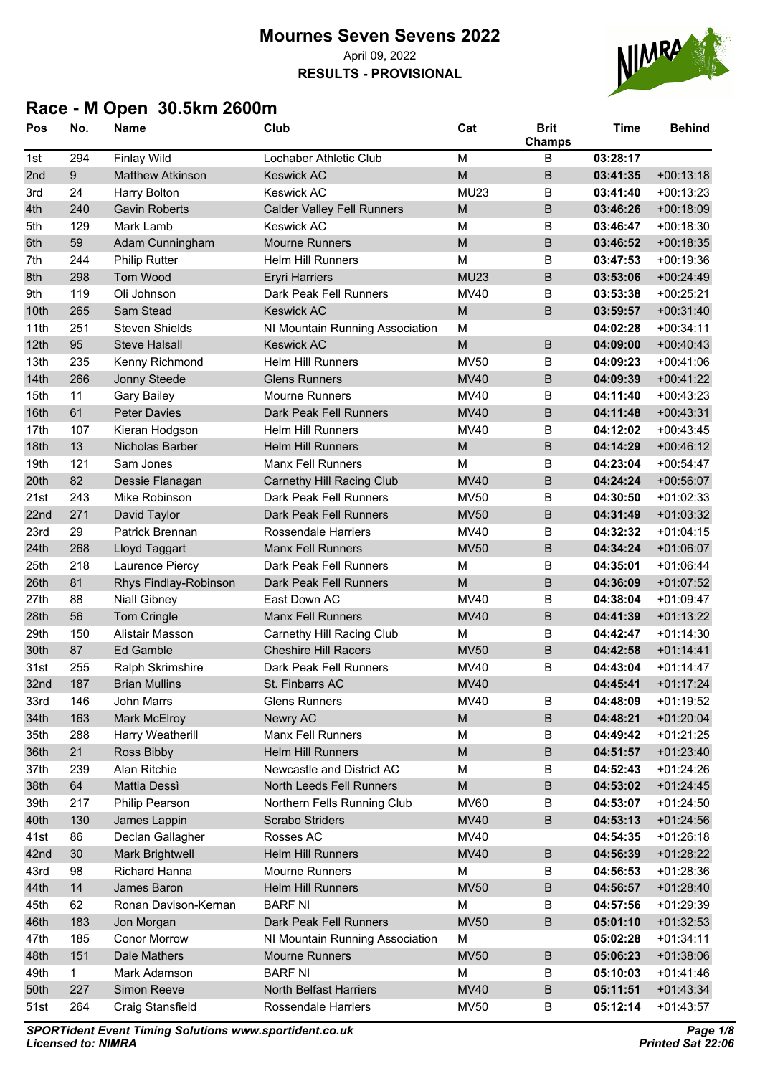**RESULTS - PROVISIONAL**



# **Race - M Open 30.5km 2600m**

| Pos  | No. | Name                    | Club                              | Cat                                                                                                        | <b>Brit</b><br>Champs | <b>Time</b> | <b>Behind</b> |
|------|-----|-------------------------|-----------------------------------|------------------------------------------------------------------------------------------------------------|-----------------------|-------------|---------------|
| 1st  | 294 | <b>Finlay Wild</b>      | Lochaber Athletic Club            | M                                                                                                          | B                     | 03:28:17    |               |
| 2nd  | 9   | <b>Matthew Atkinson</b> | <b>Keswick AC</b>                 | M                                                                                                          | B                     | 03:41:35    | $+00:13:18$   |
| 3rd  | 24  | <b>Harry Bolton</b>     | <b>Keswick AC</b>                 | <b>MU23</b>                                                                                                | B                     | 03:41:40    | $+00:13:23$   |
| 4th  | 240 | <b>Gavin Roberts</b>    | <b>Calder Valley Fell Runners</b> | M                                                                                                          | B                     | 03:46:26    | $+00:18:09$   |
| 5th  | 129 | Mark Lamb               | <b>Keswick AC</b>                 | M                                                                                                          | B                     | 03:46:47    | $+00:18:30$   |
| 6th  | 59  | Adam Cunningham         | <b>Mourne Runners</b>             | M                                                                                                          | B                     | 03:46:52    | $+00:18:35$   |
| 7th  | 244 | <b>Philip Rutter</b>    | <b>Helm Hill Runners</b>          | M                                                                                                          | B                     | 03:47:53    | $+00:19:36$   |
| 8th  | 298 | Tom Wood                | <b>Eryri Harriers</b>             | <b>MU23</b>                                                                                                | $\sf B$               | 03:53:06    | $+00:24:49$   |
| 9th  | 119 | Oli Johnson             | Dark Peak Fell Runners            | <b>MV40</b>                                                                                                | B                     | 03:53:38    | $+00:25:21$   |
| 10th | 265 | Sam Stead               | <b>Keswick AC</b>                 | M                                                                                                          | B                     | 03:59:57    | $+00:31:40$   |
| 11th | 251 | <b>Steven Shields</b>   | NI Mountain Running Association   | M                                                                                                          |                       | 04:02:28    | $+00:34:11$   |
| 12th | 95  | <b>Steve Halsall</b>    | <b>Keswick AC</b>                 | M                                                                                                          | $\sf B$               | 04:09:00    | $+00:40:43$   |
| 13th | 235 | Kenny Richmond          | Helm Hill Runners                 | <b>MV50</b>                                                                                                | B                     | 04:09:23    | $+00:41:06$   |
| 14th | 266 | Jonny Steede            | <b>Glens Runners</b>              | <b>MV40</b>                                                                                                | $\sf B$               | 04:09:39    | $+00:41:22$   |
| 15th | 11  | <b>Gary Bailey</b>      | <b>Mourne Runners</b>             | <b>MV40</b>                                                                                                | B                     | 04:11:40    | $+00:43:23$   |
| 16th | 61  | <b>Peter Davies</b>     | Dark Peak Fell Runners            | <b>MV40</b>                                                                                                | $\overline{B}$        | 04:11:48    | $+00:43:31$   |
| 17th | 107 | Kieran Hodgson          | <b>Helm Hill Runners</b>          | MV40                                                                                                       | B                     | 04:12:02    | $+00:43:45$   |
| 18th | 13  | <b>Nicholas Barber</b>  | <b>Helm Hill Runners</b>          | M                                                                                                          | B                     | 04:14:29    | $+00:46:12$   |
| 19th | 121 | Sam Jones               | <b>Manx Fell Runners</b>          | M                                                                                                          | B                     | 04:23:04    | $+00:54:47$   |
| 20th | 82  | Dessie Flanagan         | <b>Carnethy Hill Racing Club</b>  | <b>MV40</b>                                                                                                | B                     | 04:24:24    | $+00:56:07$   |
| 21st | 243 | Mike Robinson           | Dark Peak Fell Runners            | <b>MV50</b>                                                                                                | $\sf B$               | 04:30:50    | $+01:02:33$   |
| 22nd | 271 | David Taylor            | Dark Peak Fell Runners            | <b>MV50</b>                                                                                                | $\sf B$               | 04:31:49    | $+01:03:32$   |
| 23rd | 29  | Patrick Brennan         | <b>Rossendale Harriers</b>        | <b>MV40</b>                                                                                                | B                     | 04:32:32    | $+01:04:15$   |
| 24th | 268 | Lloyd Taggart           | <b>Manx Fell Runners</b>          | <b>MV50</b>                                                                                                | $\sf B$               | 04:34:24    | $+01:06:07$   |
| 25th | 218 | Laurence Piercy         | Dark Peak Fell Runners            | M                                                                                                          | B                     | 04:35:01    | $+01:06:44$   |
| 26th | 81  | Rhys Findlay-Robinson   | Dark Peak Fell Runners            | M                                                                                                          | $\sf B$               | 04:36:09    | $+01:07:52$   |
| 27th | 88  | <b>Niall Gibney</b>     | East Down AC                      | <b>MV40</b>                                                                                                | B                     | 04:38:04    | $+01:09:47$   |
| 28th | 56  | Tom Cringle             | <b>Manx Fell Runners</b>          | <b>MV40</b>                                                                                                | $\sf B$               | 04:41:39    | $+01:13:22$   |
| 29th | 150 | Alistair Masson         | Carnethy Hill Racing Club         | M                                                                                                          | B                     | 04:42:47    | $+01:14:30$   |
| 30th | 87  | <b>Ed Gamble</b>        | <b>Cheshire Hill Racers</b>       | <b>MV50</b>                                                                                                | $\overline{B}$        | 04:42:58    | $+01:14:41$   |
| 31st | 255 | Ralph Skrimshire        | Dark Peak Fell Runners            | <b>MV40</b>                                                                                                | B                     | 04:43:04    | $+01:14:47$   |
| 32nd | 187 | <b>Brian Mullins</b>    | St. Finbarrs AC                   | <b>MV40</b>                                                                                                |                       | 04:45:41    | $+01:17:24$   |
| 33rd | 146 | John Marrs              | <b>Glens Runners</b>              | <b>MV40</b>                                                                                                | B                     | 04:48:09    | $+01:19:52$   |
| 34th | 163 | Mark McElroy            | Newry AC                          | ${\sf M}$                                                                                                  | $\sf B$               | 04:48:21    | $+01:20:04$   |
| 35th | 288 | Harry Weatherill        | Manx Fell Runners                 | M                                                                                                          | B                     | 04:49:42    | $+01:21:25$   |
| 36th | 21  | Ross Bibby              | <b>Helm Hill Runners</b>          | $\mathsf{M}% _{T}=\mathsf{M}_{T}\!\left( a,b\right) ,\ \mathsf{M}_{T}=\mathsf{M}_{T}\!\left( a,b\right) ,$ | $\sf B$               | 04:51:57    | $+01:23:40$   |
| 37th | 239 | Alan Ritchie            | Newcastle and District AC         | M                                                                                                          | B                     | 04:52:43    | $+01:24:26$   |
| 38th | 64  | <b>Mattia Dessì</b>     | North Leeds Fell Runners          | M                                                                                                          | $\sf B$               | 04:53:02    | $+01:24:45$   |
| 39th | 217 | Philip Pearson          | Northern Fells Running Club       | <b>MV60</b>                                                                                                | B                     | 04:53:07    | $+01:24:50$   |
| 40th | 130 | James Lappin            | <b>Scrabo Striders</b>            | <b>MV40</b>                                                                                                | $\sf B$               | 04:53:13    | $+01:24:56$   |
| 41st | 86  | Declan Gallagher        | Rosses AC                         | <b>MV40</b>                                                                                                |                       | 04:54:35    | $+01:26:18$   |
| 42nd | 30  | <b>Mark Brightwell</b>  | <b>Helm Hill Runners</b>          | <b>MV40</b>                                                                                                | $\sf B$               | 04:56:39    | $+01:28:22$   |
| 43rd | 98  | Richard Hanna           | <b>Mourne Runners</b>             | М                                                                                                          | B                     | 04:56:53    | $+01:28:36$   |
| 44th | 14  | James Baron             | <b>Helm Hill Runners</b>          | <b>MV50</b>                                                                                                | $\sf B$               | 04:56:57    | $+01:28:40$   |
| 45th | 62  | Ronan Davison-Kernan    | <b>BARF NI</b>                    | M                                                                                                          | B                     | 04:57:56    | $+01:29:39$   |
| 46th | 183 | Jon Morgan              | Dark Peak Fell Runners            | <b>MV50</b>                                                                                                | $\sf B$               | 05:01:10    | $+01:32:53$   |
| 47th | 185 | <b>Conor Morrow</b>     | NI Mountain Running Association   | М                                                                                                          |                       | 05:02:28    | $+01:34:11$   |
| 48th | 151 | Dale Mathers            | <b>Mourne Runners</b>             | <b>MV50</b>                                                                                                | $\sf B$               | 05:06:23    | $+01:38:06$   |
| 49th | 1   | Mark Adamson            | <b>BARF NI</b>                    | М                                                                                                          | B                     | 05:10:03    | $+01:41:46$   |
| 50th | 227 | Simon Reeve             | North Belfast Harriers            | <b>MV40</b>                                                                                                | $\sf B$               | 05:11:51    | $+01:43:34$   |
| 51st | 264 | Craig Stansfield        | Rossendale Harriers               | <b>MV50</b>                                                                                                | B                     | 05:12:14    | $+01:43:57$   |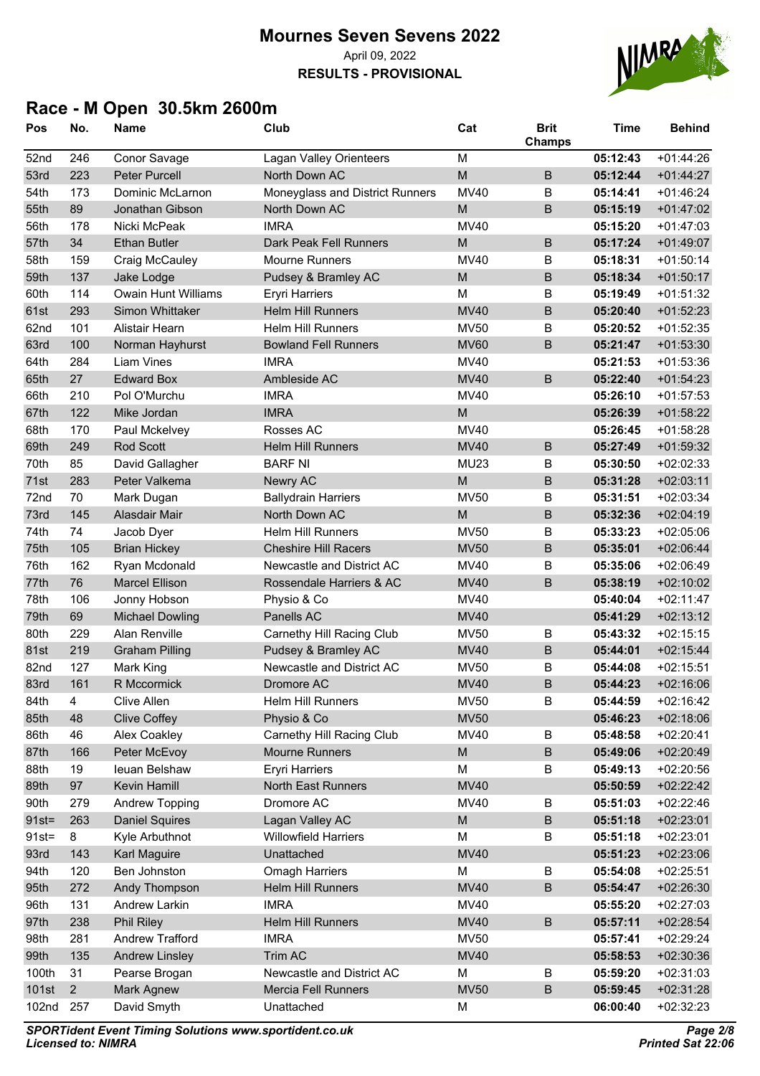**RESULTS - PROVISIONAL**



# **Race - M Open 30.5km 2600m**

| Pos      | No.            | <b>Name</b>                | Club                            | Cat         | <b>Brit</b><br><b>Champs</b> | <b>Time</b> | <b>Behind</b> |
|----------|----------------|----------------------------|---------------------------------|-------------|------------------------------|-------------|---------------|
| 52nd     | 246            | Conor Savage               | Lagan Valley Orienteers         | M           |                              | 05:12:43    | $+01:44:26$   |
| 53rd     | 223            | <b>Peter Purcell</b>       | North Down AC                   | M           | $\sf B$                      | 05:12:44    | $+01:44:27$   |
| 54th     | 173            | Dominic McLarnon           | Moneyglass and District Runners | MV40        | B                            | 05:14:41    | $+01:46:24$   |
| 55th     | 89             | Jonathan Gibson            | North Down AC                   | M           | $\sf B$                      | 05:15:19    | $+01:47:02$   |
| 56th     | 178            | Nicki McPeak               | <b>IMRA</b>                     | <b>MV40</b> |                              | 05:15:20    | $+01:47:03$   |
| 57th     | 34             | <b>Ethan Butler</b>        | Dark Peak Fell Runners          | M           | $\sf B$                      | 05:17:24    | $+01:49:07$   |
| 58th     | 159            | Craig McCauley             | <b>Mourne Runners</b>           | <b>MV40</b> | B                            | 05:18:31    | $+01:50:14$   |
| 59th     | 137            | Jake Lodge                 | Pudsey & Bramley AC             | M           | $\sf B$                      | 05:18:34    | $+01:50:17$   |
| 60th     | 114            | <b>Owain Hunt Williams</b> | Eryri Harriers                  | M           | B                            | 05:19:49    | $+01:51:32$   |
| 61st     | 293            | Simon Whittaker            | <b>Helm Hill Runners</b>        | <b>MV40</b> | $\sf B$                      | 05:20:40    | $+01:52:23$   |
| 62nd     | 101            | Alistair Hearn             | <b>Helm Hill Runners</b>        | <b>MV50</b> | $\sf B$                      | 05:20:52    | $+01:52:35$   |
| 63rd     | 100            | Norman Hayhurst            | <b>Bowland Fell Runners</b>     | <b>MV60</b> | B                            | 05:21:47    | $+01:53:30$   |
| 64th     | 284            | <b>Liam Vines</b>          | <b>IMRA</b>                     | <b>MV40</b> |                              | 05:21:53    | $+01:53:36$   |
| 65th     | 27             | <b>Edward Box</b>          | Ambleside AC                    | <b>MV40</b> | $\sf B$                      | 05:22:40    | $+01:54:23$   |
| 66th     | 210            | Pol O'Murchu               | <b>IMRA</b>                     | <b>MV40</b> |                              | 05:26:10    | $+01:57:53$   |
| 67th     | 122            | Mike Jordan                | <b>IMRA</b>                     | M           |                              | 05:26:39    | $+01:58:22$   |
| 68th     | 170            | Paul Mckelvey              | Rosses AC                       | <b>MV40</b> |                              | 05:26:45    | $+01:58:28$   |
| 69th     | 249            | Rod Scott                  | <b>Helm Hill Runners</b>        | <b>MV40</b> | $\sf B$                      | 05:27:49    | $+01:59:32$   |
| 70th     | 85             | David Gallagher            | <b>BARF NI</b>                  | <b>MU23</b> | B                            | 05:30:50    | $+02:02:33$   |
| 71st     | 283            | Peter Valkema              | Newry AC                        | M           | $\sf B$                      | 05:31:28    | $+02:03:11$   |
| 72nd     | 70             | Mark Dugan                 | <b>Ballydrain Harriers</b>      | <b>MV50</b> | $\sf B$                      | 05:31:51    | $+02:03:34$   |
| 73rd     | 145            | Alasdair Mair              | North Down AC                   | M           | $\sf B$                      | 05:32:36    | $+02:04:19$   |
| 74th     | 74             | Jacob Dyer                 | <b>Helm Hill Runners</b>        | <b>MV50</b> | B                            | 05:33:23    | $+02:05:06$   |
| 75th     | 105            | <b>Brian Hickey</b>        | <b>Cheshire Hill Racers</b>     | <b>MV50</b> | $\sf B$                      | 05:35:01    | $+02:06:44$   |
| 76th     | 162            | Ryan Mcdonald              | Newcastle and District AC       | <b>MV40</b> | $\sf B$                      | 05:35:06    | $+02:06:49$   |
| 77th     | 76             | <b>Marcel Ellison</b>      | Rossendale Harriers & AC        | <b>MV40</b> | B                            | 05:38:19    | $+02:10:02$   |
| 78th     | 106            | Jonny Hobson               | Physio & Co                     | MV40        |                              | 05:40:04    | $+02:11:47$   |
| 79th     | 69             | <b>Michael Dowling</b>     | Panells AC                      | <b>MV40</b> |                              | 05:41:29    | $+02:13:12$   |
| 80th     | 229            | Alan Renville              | Carnethy Hill Racing Club       | <b>MV50</b> | B                            | 05:43:32    | $+02:15:15$   |
| 81st     | 219            | <b>Graham Pilling</b>      | Pudsey & Bramley AC             | <b>MV40</b> | $\mathsf B$                  | 05:44:01    | $+02:15:44$   |
| 82nd     | 127            | Mark King                  | Newcastle and District AC       | <b>MV50</b> | B                            | 05:44:08    | $+02:15:51$   |
| 83rd     | 161            | R Mccormick                | Dromore AC                      | <b>MV40</b> | B                            | 05:44:23    | $+02:16:06$   |
| 84th     | 4              | Clive Allen                | Helm Hill Runners               | <b>MV50</b> | B                            | 05:44:59    | $+02:16:42$   |
| 85th     | 48             | <b>Clive Coffey</b>        | Physio & Co                     | <b>MV50</b> |                              | 05:46:23    | $+02:18:06$   |
| 86th     | 46             | Alex Coakley               | Carnethy Hill Racing Club       | MV40        | B                            | 05:48:58    | $+02:20:41$   |
| 87th     | 166            | Peter McEvoy               | <b>Mourne Runners</b>           | ${\sf M}$   | $\sf B$                      | 05:49:06    | $+02:20:49$   |
| 88th     | 19             | leuan Belshaw              | <b>Eryri Harriers</b>           | M           | В                            | 05:49:13    | $+02:20:56$   |
| 89th     | 97             | Kevin Hamill               | <b>North East Runners</b>       | <b>MV40</b> |                              | 05:50:59    | $+02:22:42$   |
| 90th     | 279            | <b>Andrew Topping</b>      | Dromore AC                      | <b>MV40</b> | B                            | 05:51:03    | $+02:22:46$   |
| $91st =$ | 263            | <b>Daniel Squires</b>      | Lagan Valley AC                 | M           | $\sf B$                      | 05:51:18    | $+02:23:01$   |
| $91st =$ | $\,8\,$        | Kyle Arbuthnot             | <b>Willowfield Harriers</b>     | M           | B                            | 05:51:18    | $+02:23:01$   |
| 93rd     | 143            | Karl Maguire               | Unattached                      | <b>MV40</b> |                              | 05:51:23    | $+02:23:06$   |
| 94th     | 120            | Ben Johnston               | <b>Omagh Harriers</b>           | M           | B                            | 05:54:08    | $+02:25:51$   |
| 95th     | 272            | Andy Thompson              | Helm Hill Runners               | <b>MV40</b> | $\sf B$                      | 05:54:47    | $+02:26:30$   |
| 96th     | 131            | Andrew Larkin              | <b>IMRA</b>                     | MV40        |                              | 05:55:20    | $+02:27:03$   |
| 97th     | 238            | Phil Riley                 | <b>Helm Hill Runners</b>        | <b>MV40</b> | $\sf B$                      | 05:57:11    | $+02:28:54$   |
| 98th     | 281            | <b>Andrew Trafford</b>     | <b>IMRA</b>                     | <b>MV50</b> |                              | 05:57:41    | +02:29:24     |
| 99th     | 135            | <b>Andrew Linsley</b>      | Trim AC                         | <b>MV40</b> |                              | 05:58:53    | $+02:30:36$   |
| 100th    | 31             | Pearse Brogan              | Newcastle and District AC       | М           | B                            | 05:59:20    | $+02:31:03$   |
| 101st    | $\overline{c}$ | <b>Mark Agnew</b>          | Mercia Fell Runners             | <b>MV50</b> | $\sf B$                      | 05:59:45    | $+02:31:28$   |
| 102nd    | 257            | David Smyth                | Unattached                      | М           |                              | 06:00:40    | +02:32:23     |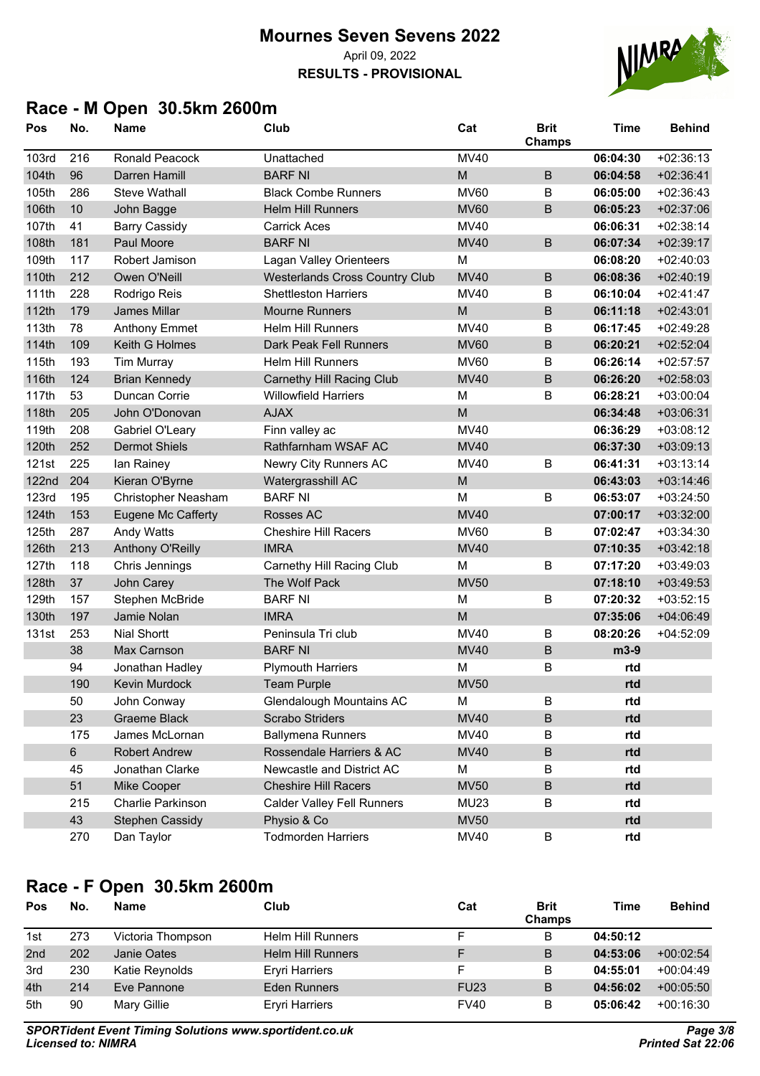**RESULTS - PROVISIONAL**



## **Race - M Open 30.5km 2600m**

| Pos          | No. | <b>Name</b>          | Club                                  | Cat         | <b>Brit</b><br>Champs | <b>Time</b> | <b>Behind</b> |
|--------------|-----|----------------------|---------------------------------------|-------------|-----------------------|-------------|---------------|
| 103rd        | 216 | Ronald Peacock       | Unattached                            | <b>MV40</b> |                       | 06:04:30    | $+02:36:13$   |
| 104th        | 96  | Darren Hamill        | <b>BARF NI</b>                        | M           | $\sf B$               | 06:04:58    | $+02:36:41$   |
| 105th        | 286 | <b>Steve Wathall</b> | <b>Black Combe Runners</b>            | <b>MV60</b> | B                     | 06:05:00    | $+02:36:43$   |
| 106th        | 10  | John Bagge           | <b>Helm Hill Runners</b>              | <b>MV60</b> | $\sf B$               | 06:05:23    | $+02:37:06$   |
| 107th        | 41  | <b>Barry Cassidy</b> | <b>Carrick Aces</b>                   | <b>MV40</b> |                       | 06:06:31    | $+02:38:14$   |
| 108th        | 181 | Paul Moore           | <b>BARF NI</b>                        | <b>MV40</b> | $\sf B$               | 06:07:34    | $+02:39:17$   |
| 109th        | 117 | Robert Jamison       | Lagan Valley Orienteers               | M           |                       | 06:08:20    | $+02:40:03$   |
| 110th        | 212 | Owen O'Neill         | <b>Westerlands Cross Country Club</b> | <b>MV40</b> | $\sf B$               | 06:08:36    | $+02:40:19$   |
| 111th        | 228 | Rodrigo Reis         | <b>Shettleston Harriers</b>           | <b>MV40</b> | B                     | 06:10:04    | $+02:41:47$   |
| 112th        | 179 | James Millar         | <b>Mourne Runners</b>                 | M           | B                     | 06:11:18    | $+02:43:01$   |
| 113th        | 78  | <b>Anthony Emmet</b> | <b>Helm Hill Runners</b>              | <b>MV40</b> | B                     | 06:17:45    | $+02:49:28$   |
| 114th        | 109 | Keith G Holmes       | Dark Peak Fell Runners                | <b>MV60</b> | $\sf B$               | 06:20:21    | $+02:52:04$   |
| 115th        | 193 | <b>Tim Murray</b>    | <b>Helm Hill Runners</b>              | <b>MV60</b> | B                     | 06:26:14    | $+02:57:57$   |
| 116th        | 124 | <b>Brian Kennedy</b> | <b>Carnethy Hill Racing Club</b>      | <b>MV40</b> | $\sf B$               | 06:26:20    | $+02:58:03$   |
| 117th        | 53  | Duncan Corrie        | <b>Willowfield Harriers</b>           | M           | B                     | 06:28:21    | $+03:00:04$   |
| 118th        | 205 | John O'Donovan       | <b>AJAX</b>                           | M           |                       | 06:34:48    | $+03:06:31$   |
| 119th        | 208 | Gabriel O'Leary      | Finn valley ac                        | <b>MV40</b> |                       | 06:36:29    | $+03:08:12$   |
| 120th        | 252 | <b>Dermot Shiels</b> | Rathfarnham WSAF AC                   | <b>MV40</b> |                       | 06:37:30    | $+03:09:13$   |
| 121st        | 225 | lan Rainey           | Newry City Runners AC                 | MV40        | B                     | 06:41:31    | $+03:13:14$   |
| <b>122nd</b> | 204 | Kieran O'Byrne       | Watergrasshill AC                     | M           |                       | 06:43:03    | $+03:14:46$   |
| <b>123rd</b> | 195 | Christopher Neasham  | <b>BARF NI</b>                        | M           | B                     | 06:53:07    | $+03:24:50$   |
| 124th        | 153 | Eugene Mc Cafferty   | Rosses AC                             | <b>MV40</b> |                       | 07:00:17    | $+03:32:00$   |
| 125th        | 287 | Andy Watts           | <b>Cheshire Hill Racers</b>           | <b>MV60</b> | B                     | 07:02:47    | $+03:34:30$   |
| 126th        | 213 | Anthony O'Reilly     | <b>IMRA</b>                           | <b>MV40</b> |                       | 07:10:35    | $+03:42:18$   |
| 127th        | 118 | Chris Jennings       | Carnethy Hill Racing Club             | М           | B                     | 07:17:20    | $+03:49:03$   |
| 128th        | 37  | John Carey           | The Wolf Pack                         | <b>MV50</b> |                       | 07:18:10    | $+03:49:53$   |
| 129th        | 157 | Stephen McBride      | <b>BARF NI</b>                        | M           | B                     | 07:20:32    | $+03:52:15$   |
| 130th        | 197 | Jamie Nolan          | <b>IMRA</b>                           | M           |                       | 07:35:06    | $+04:06:49$   |
| 131st        | 253 | <b>Nial Shortt</b>   | Peninsula Tri club                    | <b>MV40</b> | B                     | 08:20:26    | $+04:52:09$   |
|              | 38  | Max Carnson          | <b>BARF NI</b>                        | <b>MV40</b> | $\sf B$               | m3-9        |               |
|              | 94  | Jonathan Hadley      | <b>Plymouth Harriers</b>              | M           | B                     | rtd         |               |
|              | 190 | <b>Kevin Murdock</b> | <b>Team Purple</b>                    | <b>MV50</b> |                       | rtd         |               |
|              | 50  | John Conway          | <b>Glendalough Mountains AC</b>       | M           | B                     | rtd         |               |
|              | 23  | Graeme Black         | Scrabo Striders                       | <b>MV40</b> | $\sf B$               | rtd         |               |
|              | 175 | James McLornan       | <b>Ballymena Runners</b>              | MV40        | B                     | rtd         |               |
|              | 6   | <b>Robert Andrew</b> | Rossendale Harriers & AC              | <b>MV40</b> | $\sf B$               | rtd         |               |
|              | 45  | Jonathan Clarke      | Newcastle and District AC             | М           | B                     | rtd         |               |
|              | 51  | Mike Cooper          | <b>Cheshire Hill Racers</b>           | <b>MV50</b> | $\sf B$               | rtd         |               |
|              | 215 | Charlie Parkinson    | <b>Calder Valley Fell Runners</b>     | <b>MU23</b> | В                     | rtd         |               |
|              | 43  | Stephen Cassidy      | Physio & Co                           | <b>MV50</b> |                       | rtd         |               |
|              | 270 | Dan Taylor           | <b>Todmorden Harriers</b>             | <b>MV40</b> | B                     | rtd         |               |

### **Race - F Open 30.5km 2600m**

| Pos             | No. | <b>Name</b>       | Club                     | Cat         | <b>Brit</b><br><b>Champs</b> | <b>Time</b> | <b>Behind</b> |
|-----------------|-----|-------------------|--------------------------|-------------|------------------------------|-------------|---------------|
| 1st             | 273 | Victoria Thompson | <b>Helm Hill Runners</b> |             | B                            | 04:50:12    |               |
| 2 <sub>nd</sub> | 202 | Janie Oates       | <b>Helm Hill Runners</b> |             | B                            | 04:53:06    | $+00:02:54$   |
| 3rd             | 230 | Katie Reynolds    | <b>Ervri Harriers</b>    |             | B                            | 04:55:01    | $+00:04:49$   |
| 4th             | 214 | Eve Pannone       | <b>Eden Runners</b>      | <b>FU23</b> | B                            | 04:56:02    | $+00:05:50$   |
| 5th             | 90  | Mary Gillie       | <b>Eryri Harriers</b>    | <b>FV40</b> | В                            | 05:06:42    | $+00:16:30$   |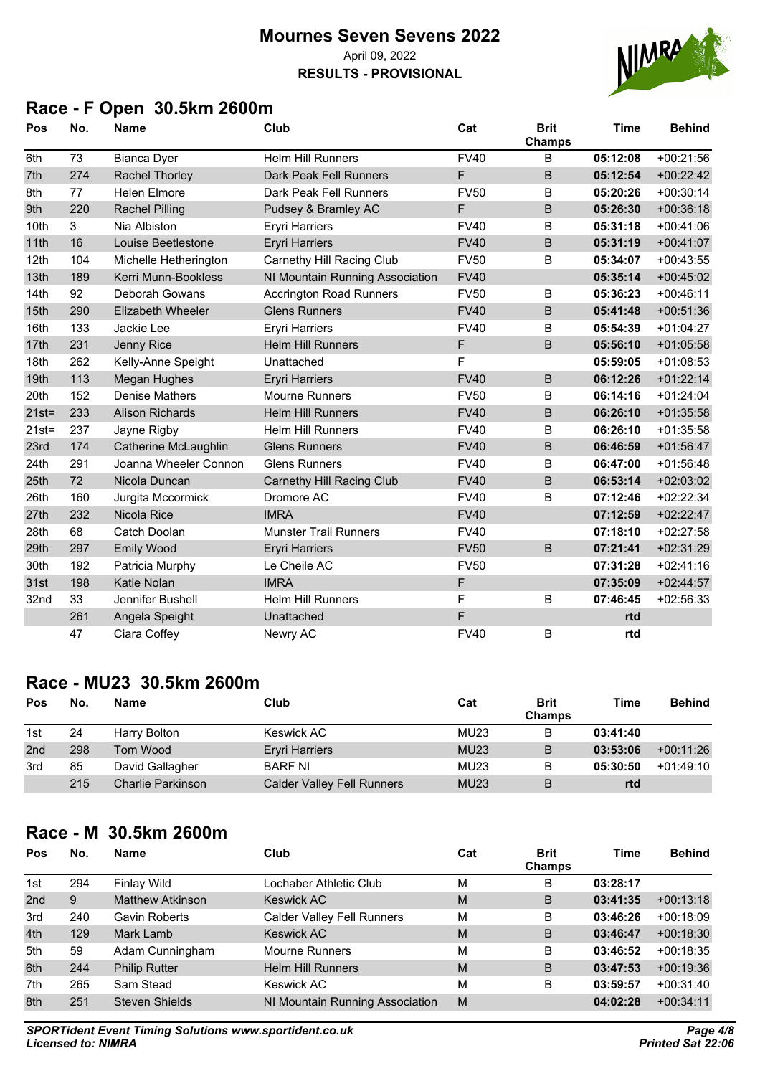#### **Mournes Seven Sevens 2022** April 09, 2022 **RESULTS - PROVISIONAL**



## **Race - F Open 30.5km 2600m**

| Pos              | No. | <b>Name</b>              | Club                             | Cat         | <b>Brit</b><br>Champs | <b>Time</b> | <b>Behind</b> |
|------------------|-----|--------------------------|----------------------------------|-------------|-----------------------|-------------|---------------|
| 6th              | 73  | <b>Bianca Dyer</b>       | <b>Helm Hill Runners</b>         | <b>FV40</b> | В                     | 05:12:08    | $+00:21:56$   |
| 7th              | 274 | Rachel Thorley           | Dark Peak Fell Runners           | F           | B                     | 05:12:54    | $+00:22:42$   |
| 8th              | 77  | <b>Helen Elmore</b>      | Dark Peak Fell Runners           | <b>FV50</b> | В                     | 05:20:26    | $+00:30:14$   |
| 9th              | 220 | <b>Rachel Pilling</b>    | Pudsey & Bramley AC              | F           | B                     | 05:26:30    | $+00:36:18$   |
| 10th             | 3   | Nia Albiston             | <b>Eryri Harriers</b>            | <b>FV40</b> | В                     | 05:31:18    | $+00:41:06$   |
| 11th             | 16  | Louise Beetlestone       | <b>Eryri Harriers</b>            | <b>FV40</b> | B                     | 05:31:19    | $+00:41:07$   |
| 12 <sub>th</sub> | 104 | Michelle Hetherington    | Carnethy Hill Racing Club        | <b>FV50</b> | В                     | 05:34:07    | $+00:43:55$   |
| 13th             | 189 | Kerri Munn-Bookless      | NI Mountain Running Association  | <b>FV40</b> |                       | 05:35:14    | $+00:45:02$   |
| 14th             | 92  | Deborah Gowans           | <b>Accrington Road Runners</b>   | <b>FV50</b> | B                     | 05:36:23    | $+00:46:11$   |
| 15th             | 290 | <b>Elizabeth Wheeler</b> | <b>Glens Runners</b>             | <b>FV40</b> | B                     | 05:41:48    | $+00:51:36$   |
| 16th             | 133 | Jackie Lee               | <b>Eryri Harriers</b>            | <b>FV40</b> | B                     | 05:54:39    | $+01:04:27$   |
| 17th             | 231 | Jenny Rice               | <b>Helm Hill Runners</b>         | $\mathsf F$ | B                     | 05:56:10    | $+01:05:58$   |
| 18th             | 262 | Kelly-Anne Speight       | Unattached                       | F           |                       | 05:59:05    | $+01:08:53$   |
| 19th             | 113 | <b>Megan Hughes</b>      | <b>Eryri Harriers</b>            | <b>FV40</b> | B                     | 06:12:26    | $+01:22:14$   |
| 20th             | 152 | <b>Denise Mathers</b>    | <b>Mourne Runners</b>            | <b>FV50</b> | В                     | 06:14:16    | $+01:24:04$   |
| $21st =$         | 233 | <b>Alison Richards</b>   | <b>Helm Hill Runners</b>         | <b>FV40</b> | В                     | 06:26:10    | $+01:35:58$   |
| $21st =$         | 237 | Jayne Rigby              | <b>Helm Hill Runners</b>         | <b>FV40</b> | B                     | 06:26:10    | $+01:35:58$   |
| 23rd             | 174 | Catherine McLaughlin     | <b>Glens Runners</b>             | <b>FV40</b> | B                     | 06:46:59    | $+01:56:47$   |
| 24th             | 291 | Joanna Wheeler Connon    | <b>Glens Runners</b>             | <b>FV40</b> | B                     | 06:47:00    | $+01:56:48$   |
| 25th             | 72  | Nicola Duncan            | <b>Carnethy Hill Racing Club</b> | <b>FV40</b> | B                     | 06:53:14    | $+02:03:02$   |
| 26th             | 160 | Jurgita Mccormick        | Dromore AC                       | <b>FV40</b> | В                     | 07:12:46    | $+02:22:34$   |
| 27th             | 232 | Nicola Rice              | <b>IMRA</b>                      | <b>FV40</b> |                       | 07:12:59    | $+02:22:47$   |
| 28th             | 68  | Catch Doolan             | <b>Munster Trail Runners</b>     | <b>FV40</b> |                       | 07:18:10    | $+02:27:58$   |
| 29th             | 297 | <b>Emily Wood</b>        | <b>Eryri Harriers</b>            | <b>FV50</b> | B                     | 07:21:41    | $+02:31:29$   |
| 30th             | 192 | Patricia Murphy          | Le Cheile AC                     | <b>FV50</b> |                       | 07:31:28    | $+02:41:16$   |
| 31st             | 198 | Katie Nolan              | <b>IMRA</b>                      | F           |                       | 07:35:09    | $+02:44:57$   |
| 32nd             | 33  | Jennifer Bushell         | <b>Helm Hill Runners</b>         | F           | B                     | 07:46:45    | $+02:56:33$   |
|                  | 261 | Angela Speight           | Unattached                       | $\mathsf F$ |                       | rtd         |               |
|                  | 47  | Ciara Coffey             | Newry AC                         | <b>FV40</b> | В                     | rtd         |               |

## **Race - MU23 30.5km 2600m**

| Pos             | No. | <b>Name</b>       | Club                              | Cat         | <b>Brit</b><br><b>Champs</b> | Time     | <b>Behind</b> |
|-----------------|-----|-------------------|-----------------------------------|-------------|------------------------------|----------|---------------|
| 1st             | 24  | Harry Bolton      | Keswick AC                        | MU23        | в                            | 03:41:40 |               |
| 2 <sub>nd</sub> | 298 | Tom Wood          | <b>Eryri Harriers</b>             | <b>MU23</b> | B                            | 03:53:06 | $+00:11:26$   |
| 3rd             | 85  | David Gallagher   | <b>BARF NI</b>                    | <b>MU23</b> |                              | 05:30:50 | $+01:49:10$   |
|                 | 215 | Charlie Parkinson | <b>Calder Valley Fell Runners</b> | <b>MU23</b> | B                            | rtd      |               |

## **Race - M 30.5km 2600m**

| Pos             | No. | <b>Name</b>             | Club                              | Cat | <b>Brit</b><br>Champs | <b>Time</b> | <b>Behind</b> |
|-----------------|-----|-------------------------|-----------------------------------|-----|-----------------------|-------------|---------------|
| 1st             | 294 | Finlay Wild             | Lochaber Athletic Club            | М   | в                     | 03:28:17    |               |
| 2 <sub>nd</sub> | 9   | <b>Matthew Atkinson</b> | <b>Keswick AC</b>                 | M   | B                     | 03:41:35    | $+00:13:18$   |
| 3rd             | 240 | <b>Gavin Roberts</b>    | <b>Calder Valley Fell Runners</b> | M   | B                     | 03:46:26    | $+00:18:09$   |
| 4th             | 129 | Mark Lamb               | <b>Keswick AC</b>                 | M   | B                     | 03:46:47    | $+00:18:30$   |
| 5th             | 59  | Adam Cunningham         | <b>Mourne Runners</b>             | M   | B                     | 03:46:52    | $+00:18:35$   |
| 6th             | 244 | <b>Philip Rutter</b>    | <b>Helm Hill Runners</b>          | M   | B                     | 03:47:53    | $+00:19:36$   |
| 7th             | 265 | Sam Stead               | Keswick AC                        | М   | в                     | 03:59:57    | $+00:31:40$   |
| 8th             | 251 | <b>Steven Shields</b>   | NI Mountain Running Association   | M   |                       | 04:02:28    | $+00:34:11$   |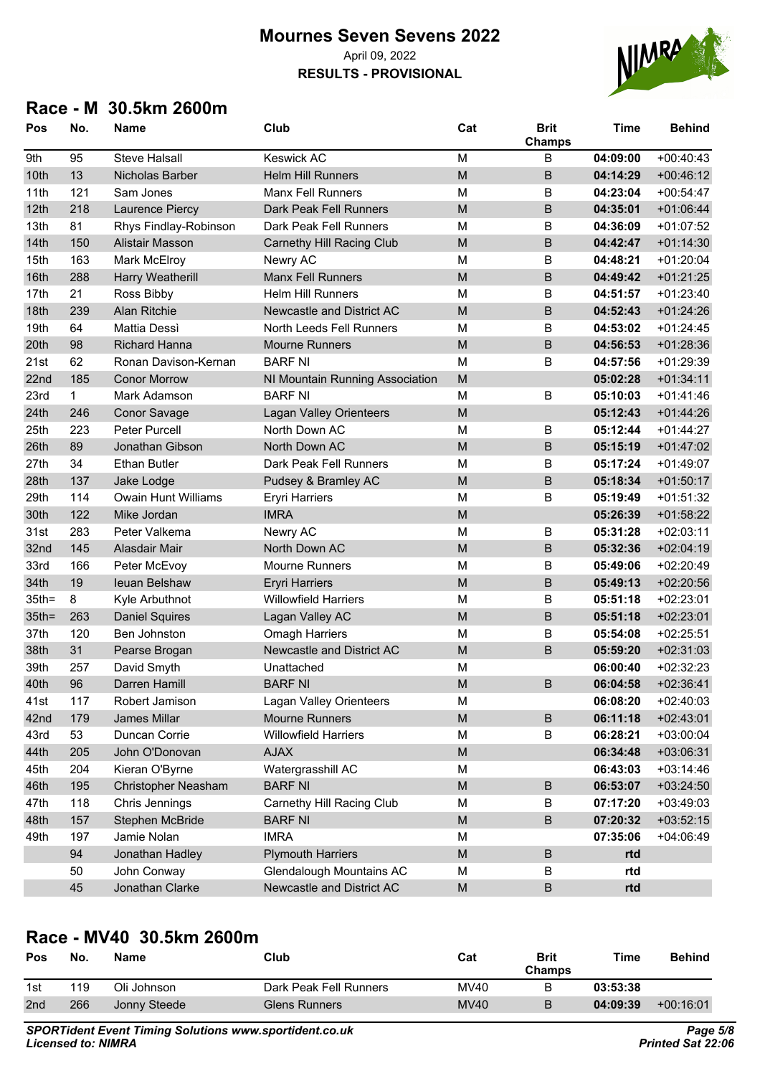**RESULTS - PROVISIONAL**



### **Race - M 30.5km 2600m**

| Pos      | No. | <b>Name</b>             | Club                            | Cat                                                                                                        | <b>Brit</b><br>Champs | <b>Time</b> | <b>Behind</b> |
|----------|-----|-------------------------|---------------------------------|------------------------------------------------------------------------------------------------------------|-----------------------|-------------|---------------|
| 9th      | 95  | <b>Steve Halsall</b>    | <b>Keswick AC</b>               | M                                                                                                          | B                     | 04:09:00    | $+00:40:43$   |
| 10th     | 13  | Nicholas Barber         | <b>Helm Hill Runners</b>        | M                                                                                                          | B                     | 04:14:29    | $+00:46:12$   |
| 11th     | 121 | Sam Jones               | Manx Fell Runners               | M                                                                                                          | B                     | 04:23:04    | $+00:54:47$   |
| 12th     | 218 | Laurence Piercy         | Dark Peak Fell Runners          | M                                                                                                          | B                     | 04:35:01    | $+01:06:44$   |
| 13th     | 81  | Rhys Findlay-Robinson   | Dark Peak Fell Runners          | M                                                                                                          | B                     | 04:36:09    | $+01:07:52$   |
| 14th     | 150 | <b>Alistair Masson</b>  | Carnethy Hill Racing Club       | M                                                                                                          | B                     | 04:42:47    | $+01:14:30$   |
| 15th     | 163 | Mark McElroy            | Newry AC                        | M                                                                                                          | B                     | 04:48:21    | $+01:20:04$   |
| 16th     | 288 | <b>Harry Weatherill</b> | <b>Manx Fell Runners</b>        | M                                                                                                          | $\sf B$               | 04:49:42    | $+01:21:25$   |
| 17th     | 21  | Ross Bibby              | <b>Helm Hill Runners</b>        | M                                                                                                          | B                     | 04:51:57    | $+01:23:40$   |
| 18th     | 239 | Alan Ritchie            | Newcastle and District AC       | M                                                                                                          | B                     | 04:52:43    | $+01:24:26$   |
| 19th     | 64  | <b>Mattia Dessi</b>     | North Leeds Fell Runners        | M                                                                                                          | B                     | 04:53:02    | $+01:24:45$   |
| 20th     | 98  | <b>Richard Hanna</b>    | <b>Mourne Runners</b>           | M                                                                                                          | $\sf B$               | 04:56:53    | $+01:28:36$   |
| 21st     | 62  | Ronan Davison-Kernan    | <b>BARF NI</b>                  | M                                                                                                          | B                     | 04:57:56    | $+01:29:39$   |
| 22nd     | 185 | <b>Conor Morrow</b>     | NI Mountain Running Association | M                                                                                                          |                       | 05:02:28    | $+01:34:11$   |
| 23rd     | 1   | Mark Adamson            | <b>BARF NI</b>                  | M                                                                                                          | B                     | 05:10:03    | $+01:41:46$   |
| 24th     | 246 | <b>Conor Savage</b>     | Lagan Valley Orienteers         | M                                                                                                          |                       | 05:12:43    | $+01:44:26$   |
| 25th     | 223 | Peter Purcell           | North Down AC                   | M                                                                                                          | B                     | 05:12:44    | $+01:44:27$   |
| 26th     | 89  | Jonathan Gibson         | North Down AC                   | M                                                                                                          | B                     | 05:15:19    | $+01:47:02$   |
| 27th     | 34  | <b>Ethan Butler</b>     | Dark Peak Fell Runners          | M                                                                                                          | B                     | 05:17:24    | $+01:49:07$   |
| 28th     | 137 | Jake Lodge              | Pudsey & Bramley AC             | M                                                                                                          | B                     | 05:18:34    | $+01:50:17$   |
| 29th     | 114 | Owain Hunt Williams     | <b>Eryri Harriers</b>           | M                                                                                                          | B                     | 05:19:49    | $+01:51:32$   |
| 30th     | 122 | Mike Jordan             | <b>IMRA</b>                     | M                                                                                                          |                       | 05:26:39    | $+01:58:22$   |
| 31st     | 283 | Peter Valkema           | Newry AC                        | M                                                                                                          | В                     | 05:31:28    | $+02:03:11$   |
| 32nd     | 145 | Alasdair Mair           | North Down AC                   | M                                                                                                          | B                     | 05:32:36    | $+02:04:19$   |
| 33rd     | 166 | Peter McEvoy            | <b>Mourne Runners</b>           | M                                                                                                          | В                     | 05:49:06    | $+02:20:49$   |
| 34th     | 19  | leuan Belshaw           | <b>Eryri Harriers</b>           | M                                                                                                          | $\sf B$               | 05:49:13    | $+02:20:56$   |
| $35th =$ | 8   | Kyle Arbuthnot          | <b>Willowfield Harriers</b>     | M                                                                                                          | B                     | 05:51:18    | +02:23:01     |
| $35th =$ | 263 | <b>Daniel Squires</b>   | Lagan Valley AC                 | M                                                                                                          | $\sf B$               | 05:51:18    | $+02:23:01$   |
| 37th     | 120 | Ben Johnston            | Omagh Harriers                  | M                                                                                                          | B                     | 05:54:08    | $+02:25:51$   |
| 38th     | 31  | Pearse Brogan           | Newcastle and District AC       | M                                                                                                          | B                     | 05:59:20    | $+02:31:03$   |
| 39th     | 257 | David Smyth             | Unattached                      | M                                                                                                          |                       | 06:00:40    | $+02:32:23$   |
| 40th     | 96  | Darren Hamill           | <b>BARF NI</b>                  | M                                                                                                          | B                     | 06:04:58    | $+02:36:41$   |
| 41st     | 117 | Robert Jamison          | <b>Lagan Valley Orienteers</b>  | M                                                                                                          |                       | 06:08:20    | $+02:40:03$   |
| 42nd     | 179 | James Millar            | <b>Mourne Runners</b>           | ${\sf M}$                                                                                                  | $\sf B$               | 06:11:18    | $+02:43:01$   |
| 43rd     | 53  | Duncan Corrie           | <b>Willowfield Harriers</b>     | M                                                                                                          | B                     | 06:28:21    | $+03:00:04$   |
| 44th     | 205 | John O'Donovan          | <b>AJAX</b>                     | $\mathsf{M}% _{T}=\mathsf{M}_{T}\!\left( a,b\right) ,\ \mathsf{M}_{T}=\mathsf{M}_{T}\!\left( a,b\right) ,$ |                       | 06:34:48    | $+03:06:31$   |
| 45th     | 204 | Kieran O'Byrne          | Watergrasshill AC               | M                                                                                                          |                       | 06:43:03    | $+03:14:46$   |
| 46th     | 195 | Christopher Neasham     | <b>BARF NI</b>                  | ${\sf M}$                                                                                                  | $\sf B$               | 06:53:07    | $+03:24:50$   |
| 47th     | 118 | Chris Jennings          | Carnethy Hill Racing Club       | M                                                                                                          | B                     | 07:17:20    | $+03:49:03$   |
| 48th     | 157 | Stephen McBride         | <b>BARF NI</b>                  | $\mathsf{M}% _{T}=\mathsf{M}_{T}\!\left( a,b\right) ,\ \mathsf{M}_{T}=\mathsf{M}_{T}\!\left( a,b\right) ,$ | $\sf B$               | 07:20:32    | $+03:52:15$   |
| 49th     | 197 | Jamie Nolan             | <b>IMRA</b>                     | M                                                                                                          |                       | 07:35:06    | $+04:06:49$   |
|          | 94  | Jonathan Hadley         | <b>Plymouth Harriers</b>        | $\mathsf{M}% _{T}=\mathsf{M}_{T}\!\left( a,b\right) ,\ \mathsf{M}_{T}=\mathsf{M}_{T}\!\left( a,b\right) ,$ | B                     | rtd         |               |
|          | 50  | John Conway             | <b>Glendalough Mountains AC</b> | M                                                                                                          | B                     | rtd         |               |
|          | 45  | Jonathan Clarke         | Newcastle and District AC       | ${\sf M}$                                                                                                  | $\sf B$               | rtd         |               |

## **Race - MV40 30.5km 2600m**

| Pos | No. | <b>Name</b>  | Club                   | Cat         | Brit<br><b>Champs</b> | Time     | <b>Behind</b> |
|-----|-----|--------------|------------------------|-------------|-----------------------|----------|---------------|
| 1st | 119 | Oli Johnson  | Dark Peak Fell Runners | MV40        | в                     | 03:53:38 |               |
| 2nd | 266 | Jonny Steede | Glens Runners          | <b>MV40</b> | B                     | 04:09:39 | $+00:16:01$   |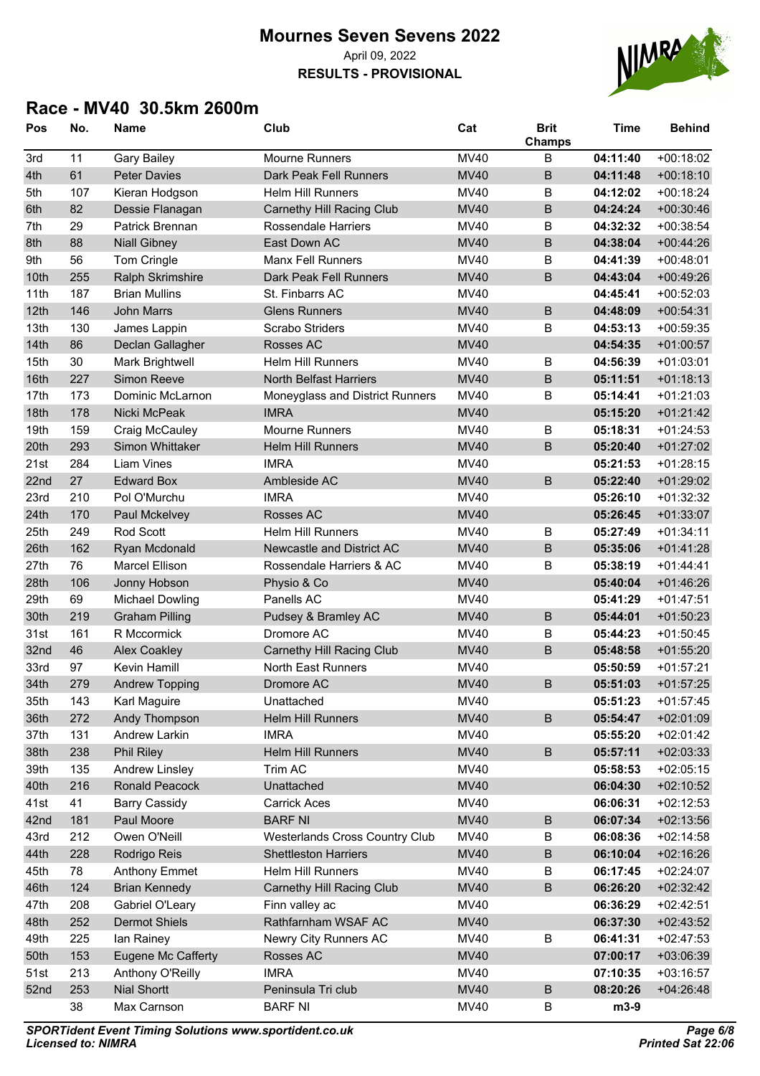#### **Mournes Seven Sevens 2022** April 09, 2022 **RESULTS - PROVISIONAL**



#### **Race - MV40 30.5km 2600m**

| Pos  | No. | <b>Name</b>             | Club                                  | Cat         | <b>Brit</b><br>Champs | <b>Time</b> | <b>Behind</b> |
|------|-----|-------------------------|---------------------------------------|-------------|-----------------------|-------------|---------------|
| 3rd  | 11  | <b>Gary Bailey</b>      | <b>Mourne Runners</b>                 | <b>MV40</b> | B                     | 04:11:40    | $+00:18:02$   |
| 4th  | 61  | <b>Peter Davies</b>     | Dark Peak Fell Runners                | <b>MV40</b> | $\overline{B}$        | 04:11:48    | $+00:18:10$   |
| 5th  | 107 | Kieran Hodgson          | <b>Helm Hill Runners</b>              | <b>MV40</b> | B                     | 04:12:02    | $+00:18:24$   |
| 6th  | 82  | Dessie Flanagan         | <b>Carnethy Hill Racing Club</b>      | <b>MV40</b> | $\sf B$               | 04:24:24    | $+00:30:46$   |
| 7th  | 29  | Patrick Brennan         | Rossendale Harriers                   | MV40        | B                     | 04:32:32    | $+00:38:54$   |
| 8th  | 88  | <b>Niall Gibney</b>     | East Down AC                          | <b>MV40</b> | $\sf B$               | 04:38:04    | $+00:44:26$   |
| 9th  | 56  | Tom Cringle             | <b>Manx Fell Runners</b>              | MV40        | B                     | 04:41:39    | $+00:48:01$   |
| 10th | 255 | <b>Ralph Skrimshire</b> | Dark Peak Fell Runners                | <b>MV40</b> | $\sf B$               | 04:43:04    | $+00:49:26$   |
| 11th | 187 | <b>Brian Mullins</b>    | St. Finbarrs AC                       | MV40        |                       | 04:45:41    | $+00:52:03$   |
| 12th | 146 | <b>John Marrs</b>       | <b>Glens Runners</b>                  | <b>MV40</b> | $\sf B$               | 04:48:09    | $+00:54:31$   |
| 13th | 130 | James Lappin            | <b>Scrabo Striders</b>                | <b>MV40</b> | B                     | 04:53:13    | $+00:59:35$   |
| 14th | 86  | Declan Gallagher        | Rosses AC                             | <b>MV40</b> |                       | 04:54:35    | $+01:00:57$   |
| 15th | 30  | Mark Brightwell         | Helm Hill Runners                     | <b>MV40</b> | B                     | 04:56:39    | $+01:03:01$   |
| 16th | 227 | Simon Reeve             | <b>North Belfast Harriers</b>         | <b>MV40</b> | $\sf B$               | 05:11:51    | $+01:18:13$   |
| 17th | 173 | Dominic McLarnon        | Moneyglass and District Runners       | <b>MV40</b> | B                     | 05:14:41    | $+01:21:03$   |
| 18th | 178 | Nicki McPeak            | <b>IMRA</b>                           | <b>MV40</b> |                       | 05:15:20    | $+01:21:42$   |
| 19th | 159 | Craig McCauley          | <b>Mourne Runners</b>                 | <b>MV40</b> | B                     | 05:18:31    | $+01:24:53$   |
| 20th | 293 | Simon Whittaker         | <b>Helm Hill Runners</b>              | <b>MV40</b> | B                     | 05:20:40    | $+01:27:02$   |
| 21st | 284 | <b>Liam Vines</b>       | <b>IMRA</b>                           | <b>MV40</b> |                       | 05:21:53    | $+01:28:15$   |
| 22nd | 27  | <b>Edward Box</b>       | Ambleside AC                          | <b>MV40</b> | $\sf B$               | 05:22:40    | $+01:29:02$   |
| 23rd | 210 | Pol O'Murchu            | <b>IMRA</b>                           | <b>MV40</b> |                       | 05:26:10    | $+01:32:32$   |
| 24th | 170 | Paul Mckelvey           | <b>Rosses AC</b>                      | <b>MV40</b> |                       | 05:26:45    | $+01:33:07$   |
| 25th | 249 | Rod Scott               | <b>Helm Hill Runners</b>              | MV40        | B                     | 05:27:49    | $+01:34:11$   |
| 26th | 162 | Ryan Mcdonald           | Newcastle and District AC             | <b>MV40</b> | $\sf B$               | 05:35:06    | $+01:41:28$   |
| 27th | 76  | <b>Marcel Ellison</b>   | Rossendale Harriers & AC              | <b>MV40</b> | B                     | 05:38:19    | $+01:44:41$   |
| 28th | 106 | Jonny Hobson            | Physio & Co                           | <b>MV40</b> |                       | 05:40:04    | $+01:46:26$   |
| 29th | 69  | <b>Michael Dowling</b>  | Panells AC                            | MV40        |                       | 05:41:29    | $+01:47:51$   |
| 30th | 219 | <b>Graham Pilling</b>   | Pudsey & Bramley AC                   | <b>MV40</b> | $\sf B$               | 05:44:01    | $+01:50:23$   |
| 31st | 161 | R Mccormick             | Dromore AC                            | <b>MV40</b> | B                     | 05:44:23    | $+01:50:45$   |
| 32nd | 46  | <b>Alex Coakley</b>     | <b>Carnethy Hill Racing Club</b>      | <b>MV40</b> | $\overline{B}$        | 05:48:58    | $+01:55:20$   |
| 33rd | 97  | Kevin Hamill            | <b>North East Runners</b>             | <b>MV40</b> |                       | 05:50:59    | $+01:57:21$   |
| 34th | 279 | <b>Andrew Topping</b>   | Dromore AC                            | <b>MV40</b> | B                     | 05:51:03    | $+01:57:25$   |
| 35th | 143 | Karl Maguire            | Unattached                            | MV40        |                       | 05:51:23    | $+01:57:45$   |
| 36th | 272 | Andy Thompson           | <b>Helm Hill Runners</b>              | <b>MV40</b> | $\sf B$               | 05:54:47    | $+02:01:09$   |
| 37th | 131 | Andrew Larkin           | <b>IMRA</b>                           | MV40        |                       | 05:55:20    | $+02:01:42$   |
| 38th | 238 | <b>Phil Riley</b>       | <b>Helm Hill Runners</b>              | <b>MV40</b> | $\sf B$               | 05:57:11    | $+02:03:33$   |
| 39th | 135 | Andrew Linsley          | Trim AC                               | MV40        |                       | 05:58:53    | $+02:05:15$   |
| 40th | 216 | Ronald Peacock          | Unattached                            | <b>MV40</b> |                       | 06:04:30    | $+02:10:52$   |
| 41st | 41  | <b>Barry Cassidy</b>    | <b>Carrick Aces</b>                   | <b>MV40</b> |                       | 06:06:31    | $+02:12:53$   |
| 42nd | 181 | Paul Moore              | <b>BARF NI</b>                        | <b>MV40</b> | $\sf B$               | 06:07:34    | $+02:13:56$   |
| 43rd | 212 | Owen O'Neill            | <b>Westerlands Cross Country Club</b> | <b>MV40</b> | B                     | 06:08:36    | $+02:14:58$   |
| 44th | 228 | Rodrigo Reis            | <b>Shettleston Harriers</b>           | <b>MV40</b> | $\sf B$               | 06:10:04    | $+02:16:26$   |
| 45th | 78  | <b>Anthony Emmet</b>    | Helm Hill Runners                     | MV40        | B                     | 06:17:45    | $+02:24:07$   |
| 46th | 124 | <b>Brian Kennedy</b>    | <b>Carnethy Hill Racing Club</b>      | <b>MV40</b> | $\sf B$               | 06:26:20    | $+02:32:42$   |
| 47th | 208 | Gabriel O'Leary         | Finn valley ac                        | MV40        |                       | 06:36:29    | $+02:42:51$   |
| 48th | 252 | <b>Dermot Shiels</b>    | Rathfarnham WSAF AC                   | <b>MV40</b> |                       | 06:37:30    | $+02:43:52$   |
| 49th | 225 | lan Rainey              | Newry City Runners AC                 | <b>MV40</b> | B                     | 06:41:31    | $+02:47:53$   |
| 50th | 153 | Eugene Mc Cafferty      | Rosses AC                             | <b>MV40</b> |                       | 07:00:17    | $+03:06:39$   |
| 51st | 213 | Anthony O'Reilly        | <b>IMRA</b>                           | MV40        |                       | 07:10:35    | $+03:16:57$   |
| 52nd | 253 | <b>Nial Shortt</b>      | Peninsula Tri club                    | <b>MV40</b> | $\sf B$               | 08:20:26    | $+04:26:48$   |
|      | 38  | Max Carnson             | <b>BARF NI</b>                        | <b>MV40</b> | B                     | m3-9        |               |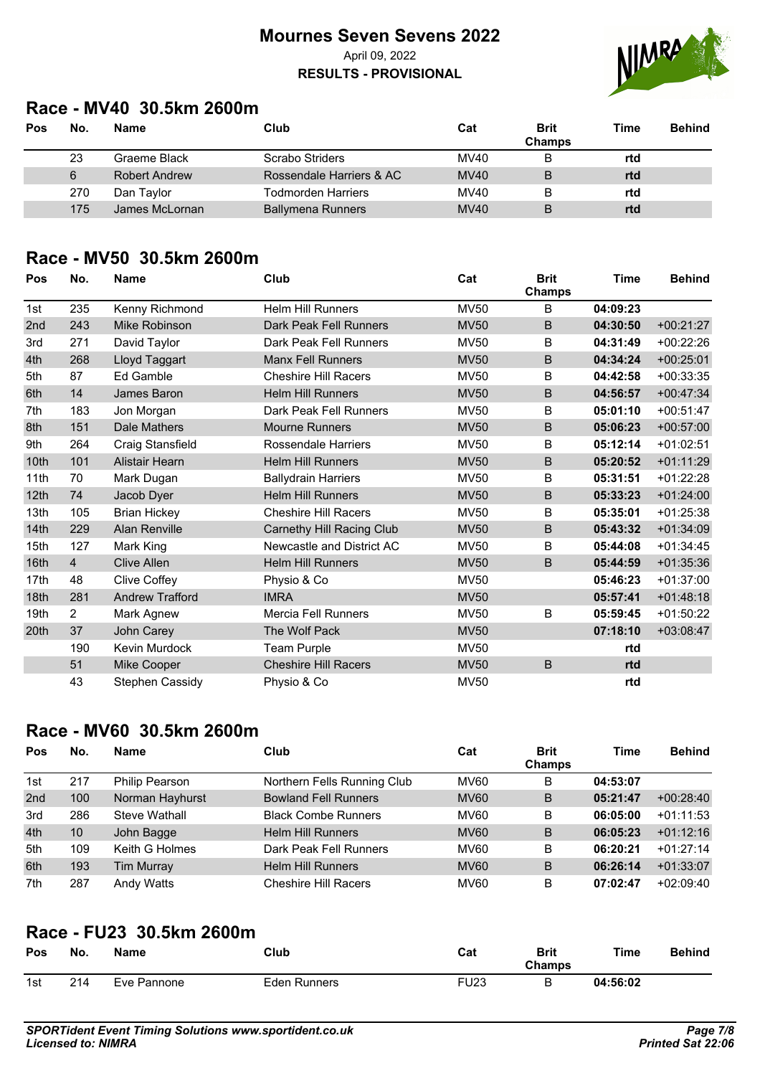**RESULTS - PROVISIONAL**



### **Race - MV40 30.5km 2600m**

| Pos | No. | <b>Name</b>          | Club                      | Cat         | <b>Brit</b><br><b>Champs</b> | Time | <b>Behind</b> |
|-----|-----|----------------------|---------------------------|-------------|------------------------------|------|---------------|
|     | 23  | Graeme Black         | Scrabo Striders           | MV40        | В                            | rtd  |               |
|     | 6   | <b>Robert Andrew</b> | Rossendale Harriers & AC  | MVAO        | B                            | rtd  |               |
|     | 270 | Dan Taylor           | <b>Todmorden Harriers</b> | MV40        | B                            | rtd  |               |
|     | 175 | James McLornan       | <b>Ballymena Runners</b>  | <b>MV40</b> | B                            | rtd  |               |

### **Race - MV50 30.5km 2600m**

| Pos  | No.            | <b>Name</b>            | Club                        | Cat         | <b>Brit</b><br>Champs | Time     | <b>Behind</b> |
|------|----------------|------------------------|-----------------------------|-------------|-----------------------|----------|---------------|
| 1st  | 235            | Kenny Richmond         | <b>Helm Hill Runners</b>    | <b>MV50</b> | B                     | 04:09:23 |               |
| 2nd  | 243            | Mike Robinson          | Dark Peak Fell Runners      | <b>MV50</b> | B                     | 04:30:50 | $+00:21:27$   |
| 3rd  | 271            | David Taylor           | Dark Peak Fell Runners      | <b>MV50</b> | B                     | 04:31:49 | $+00:22:26$   |
| 4th  | 268            | Lloyd Taggart          | Manx Fell Runners           | <b>MV50</b> | B                     | 04:34:24 | $+00:25:01$   |
| 5th  | 87             | Ed Gamble              | <b>Cheshire Hill Racers</b> | <b>MV50</b> | B                     | 04:42:58 | $+00:33:35$   |
| 6th  | 14             | James Baron            | <b>Helm Hill Runners</b>    | <b>MV50</b> | B                     | 04:56:57 | $+00:47:34$   |
| 7th  | 183            | Jon Morgan             | Dark Peak Fell Runners      | <b>MV50</b> | B                     | 05:01:10 | $+00:51:47$   |
| 8th  | 151            | Dale Mathers           | <b>Mourne Runners</b>       | <b>MV50</b> | B                     | 05:06:23 | $+00:57:00$   |
| 9th  | 264            | Craig Stansfield       | <b>Rossendale Harriers</b>  | <b>MV50</b> | B                     | 05:12:14 | $+01:02:51$   |
| 10th | 101            | Alistair Hearn         | <b>Helm Hill Runners</b>    | <b>MV50</b> | B                     | 05:20:52 | $+01:11:29$   |
| 11th | 70             | Mark Dugan             | <b>Ballydrain Harriers</b>  | <b>MV50</b> | B                     | 05:31:51 | $+01:22:28$   |
| 12th | 74             | Jacob Dyer             | <b>Helm Hill Runners</b>    | <b>MV50</b> | B                     | 05:33:23 | $+01:24:00$   |
| 13th | 105            | <b>Brian Hickey</b>    | <b>Cheshire Hill Racers</b> | <b>MV50</b> | B                     | 05:35:01 | $+01:25:38$   |
| 14th | 229            | <b>Alan Renville</b>   | Carnethy Hill Racing Club   | <b>MV50</b> | B                     | 05:43:32 | $+01:34:09$   |
| 15th | 127            | Mark King              | Newcastle and District AC   | <b>MV50</b> | B                     | 05:44:08 | $+01:34:45$   |
| 16th | $\overline{4}$ | <b>Clive Allen</b>     | <b>Helm Hill Runners</b>    | <b>MV50</b> | B                     | 05:44:59 | $+01:35:36$   |
| 17th | 48             | <b>Clive Coffey</b>    | Physio & Co                 | <b>MV50</b> |                       | 05:46:23 | $+01:37:00$   |
| 18th | 281            | <b>Andrew Trafford</b> | <b>IMRA</b>                 | <b>MV50</b> |                       | 05:57:41 | $+01:48:18$   |
| 19th | 2              | Mark Agnew             | <b>Mercia Fell Runners</b>  | <b>MV50</b> | B                     | 05:59:45 | $+01:50:22$   |
| 20th | 37             | John Carey             | The Wolf Pack               | <b>MV50</b> |                       | 07:18:10 | $+03:08:47$   |
|      | 190            | Kevin Murdock          | Team Purple                 | <b>MV50</b> |                       | rtd      |               |
|      | 51             | Mike Cooper            | <b>Cheshire Hill Racers</b> | <b>MV50</b> | B                     | rtd      |               |
|      | 43             | Stephen Cassidy        | Physio & Co                 | <b>MV50</b> |                       | rtd      |               |

## **Race - MV60 30.5km 2600m**

| Pos             | No. | <b>Name</b>           | Club                        | Cat         | <b>Brit</b><br>Champs | <b>Time</b> | <b>Behind</b> |
|-----------------|-----|-----------------------|-----------------------------|-------------|-----------------------|-------------|---------------|
| 1st             | 217 | <b>Philip Pearson</b> | Northern Fells Running Club | <b>MV60</b> | B                     | 04:53:07    |               |
| 2 <sub>nd</sub> | 100 | Norman Hayhurst       | <b>Bowland Fell Runners</b> | <b>MV60</b> | B                     | 05:21:47    | $+00:28:40$   |
| 3rd             | 286 | Steve Wathall         | <b>Black Combe Runners</b>  | <b>MV60</b> | B                     | 06:05:00    | $+01:11:53$   |
| 4th             | 10  | John Bagge            | <b>Helm Hill Runners</b>    | <b>MV60</b> | B                     | 06:05:23    | $+01:12:16$   |
| 5th             | 109 | Keith G Holmes        | Dark Peak Fell Runners      | <b>MV60</b> | B                     | 06:20:21    | $+01:27:14$   |
| 6th             | 193 | <b>Tim Murray</b>     | <b>Helm Hill Runners</b>    | <b>MV60</b> | B                     | 06:26:14    | $+01:33:07$   |
| 7th             | 287 | Andy Watts            | <b>Cheshire Hill Racers</b> | <b>MV60</b> | B                     | 07:02:47    | $+02:09:40$   |

## **Race - FU23 30.5km 2600m**

| Pos | No. | Name        | Club         | Cat  | Brit<br>Champs | Time     | Behind |
|-----|-----|-------------|--------------|------|----------------|----------|--------|
| 1st | 214 | Eve Pannone | Eden Runners | FU23 |                | 04:56:02 |        |